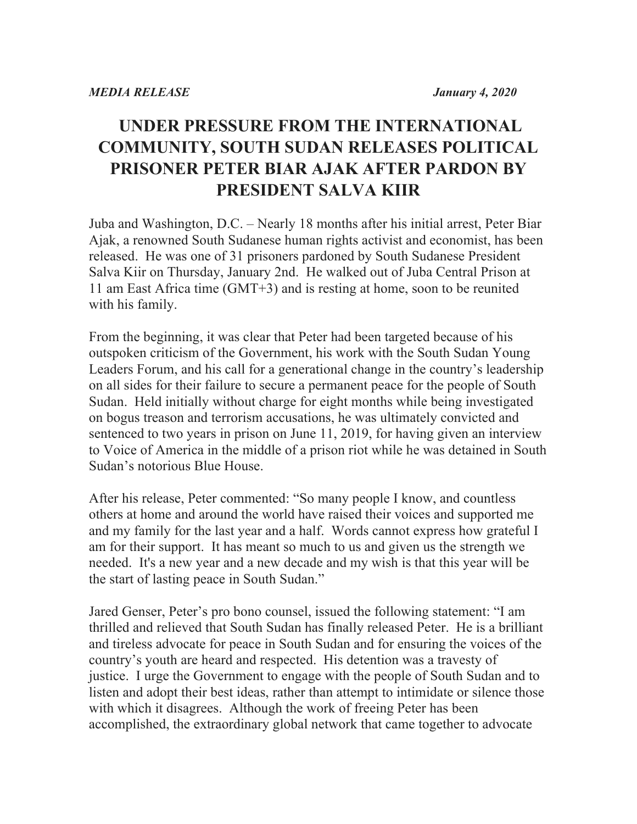## **UNDER PRESSURE FROM THE INTERNATIONAL COMMUNITY, SOUTH SUDAN RELEASES POLITICAL PRISONER PETER BIAR AJAK AFTER PARDON BY PRESIDENT SALVA KIIR**

Juba and Washington, D.C. – Nearly 18 months after his initial arrest, Peter Biar Ajak, a renowned South Sudanese human rights activist and economist, has been released. He was one of 31 prisoners pardoned by South Sudanese President Salva Kiir on Thursday, January 2nd. He walked out of Juba Central Prison at 11 am East Africa time (GMT+3) and is resting at home, soon to be reunited with his family.

From the beginning, it was clear that Peter had been targeted because of his outspoken criticism of the Government, his work with the South Sudan Young Leaders Forum, and his call for a generational change in the country's leadership on all sides for their failure to secure a permanent peace for the people of South Sudan. Held initially without charge for eight months while being investigated on bogus treason and terrorism accusations, he was ultimately convicted and sentenced to two years in prison on June 11, 2019, for having given an interview to Voice of America in the middle of a prison riot while he was detained in South Sudan's notorious Blue House.

After his release, Peter commented: "So many people I know, and countless others at home and around the world have raised their voices and supported me and my family for the last year and a half. Words cannot express how grateful I am for their support. It has meant so much to us and given us the strength we needed. It's a new year and a new decade and my wish is that this year will be the start of lasting peace in South Sudan."

Jared Genser, Peter's pro bono counsel, issued the following statement: "I am thrilled and relieved that South Sudan has finally released Peter. He is a brilliant and tireless advocate for peace in South Sudan and for ensuring the voices of the country's youth are heard and respected. His detention was a travesty of justice. I urge the Government to engage with the people of South Sudan and to listen and adopt their best ideas, rather than attempt to intimidate or silence those with which it disagrees. Although the work of freeing Peter has been accomplished, the extraordinary global network that came together to advocate